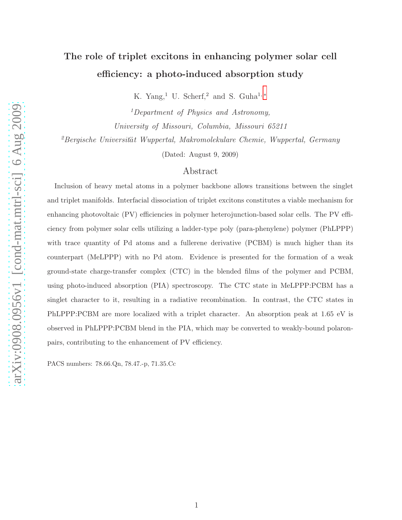# The role of triplet excitons in enhancing polymer solar cell efficiency: a photo-induced absorption study

K. Yang,<sup>1</sup> U. Scherf,<sup>2</sup> and S. Guha<sup>1,\*</sup>

<sup>1</sup>Department of Physics and Astronomy, University of Missouri, Columbia, Missouri 65211

 ${}^{2}$ Bergische Universität Wuppertal, Makromolekulare Chemie, Wuppertal, Germany

(Dated: August 9, 2009)

## Abstract

Inclusion of heavy metal atoms in a polymer backbone allows transitions between the singlet and triplet manifolds. Interfacial dissociation of triplet excitons constitutes a viable mechanism for enhancing photovoltaic (PV) efficiencies in polymer heterojunction-based solar cells. The PV efficiency from polymer solar cells utilizing a ladder-type poly (para-phenylene) polymer (PhLPPP) with trace quantity of Pd atoms and a fullerene derivative (PCBM) is much higher than its counterpart (MeLPPP) with no Pd atom. Evidence is presented for the formation of a weak ground-state charge-transfer complex (CTC) in the blended films of the polymer and PCBM, using photo-induced absorption (PIA) spectroscopy. The CTC state in MeLPPP:PCBM has a singlet character to it, resulting in a radiative recombination. In contrast, the CTC states in PhLPPP:PCBM are more localized with a triplet character. An absorption peak at 1.65 eV is observed in PhLPPP:PCBM blend in the PIA, which may be converted to weakly-bound polaronpairs, contributing to the enhancement of PV efficiency.

PACS numbers: 78.66.Qn, 78.47.-p, 71.35.Cc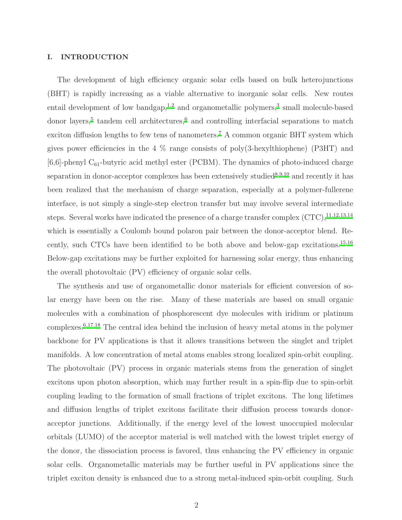#### I. INTRODUCTION

The development of high efficiency organic solar cells based on bulk heterojunctions (BHT) is rapidly increasing as a viable alternative to inorganic solar cells. New routes entail development of low bandgap,<sup>[1](#page-16-1)[,2](#page-16-2)</sup> and organometallic polymers,<sup>[3](#page-16-3)</sup> small molecule-based donor layers,<sup>[5](#page-17-0)</sup> tandem cell architectures,<sup>[6](#page-17-1)</sup> and controlling interfacial separations to match exciton diffusion lengths to few tens of nanometers.<sup>[7](#page-17-2)</sup> A common organic BHT system which gives power efficiencies in the 4  $\%$  range consists of poly(3-hexylthiophene) (P3HT) and  $[6,6]$ -phenyl C<sub>61</sub>-butyric acid methyl ester (PCBM). The dynamics of photo-induced charge separation in donor-acceptor complexes has been extensively studied $8,9,10$  $8,9,10$  $8,9,10$  and recently it has been realized that the mechanism of charge separation, especially at a polymer-fullerene interface, is not simply a single-step electron transfer but may involve several intermediate steps. Several works have indicated the presence of a charge transfer complex  $(CTC)$ ,<sup>[11](#page-17-6)[,12](#page-17-7)[,13](#page-17-8)[,14](#page-17-9)</sup> which is essentially a Coulomb bound polaron pair between the donor-acceptor blend. Re-cently, such CTCs have been identified to be both above and below-gap excitations.<sup>[15](#page-17-10)[,16](#page-17-11)</sup> Below-gap excitations may be further exploited for harnessing solar energy, thus enhancing the overall photovoltaic (PV) efficiency of organic solar cells.

The synthesis and use of organometallic donor materials for efficient conversion of solar energy have been on the rise. Many of these materials are based on small organic molecules with a combination of phosphorescent dye molecules with iridium or platinum complexes.[6](#page-17-1)[,17](#page-17-12)[,18](#page-17-13) The central idea behind the inclusion of heavy metal atoms in the polymer backbone for PV applications is that it allows transitions between the singlet and triplet manifolds. A low concentration of metal atoms enables strong localized spin-orbit coupling. The photovoltaic (PV) process in organic materials stems from the generation of singlet excitons upon photon absorption, which may further result in a spin-flip due to spin-orbit coupling leading to the formation of small fractions of triplet excitons. The long lifetimes and diffusion lengths of triplet excitons facilitate their diffusion process towards donoracceptor junctions. Additionally, if the energy level of the lowest unoccupied molecular orbitals (LUMO) of the acceptor material is well matched with the lowest triplet energy of the donor, the dissociation process is favored, thus enhancing the PV efficiency in organic solar cells. Organometallic materials may be further useful in PV applications since the triplet exciton density is enhanced due to a strong metal-induced spin-orbit coupling. Such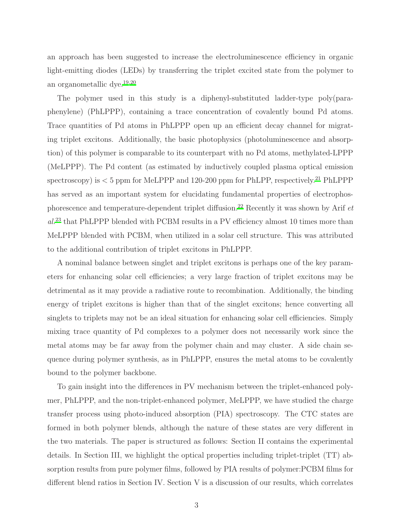an approach has been suggested to increase the electroluminescence efficiency in organic light-emitting diodes (LEDs) by transferring the triplet excited state from the polymer to an organometallic dye.[19](#page-17-14)[,20](#page-17-15)

The polymer used in this study is a diphenyl-substituted ladder-type poly(paraphenylene) (PhLPPP), containing a trace concentration of covalently bound Pd atoms. Trace quantities of Pd atoms in PhLPPP open up an efficient decay channel for migrating triplet excitons. Additionally, the basic photophysics (photoluminescence and absorption) of this polymer is comparable to its counterpart with no Pd atoms, methylated-LPPP (MeLPPP). The Pd content (as estimated by inductively coupled plasma optical emission spectroscopy) is  $<$  5 ppm for MeLPPP and 120-200 ppm for PhLPP, respectively.<sup>[21](#page-17-16)</sup> PhLPPP has served as an important system for elucidating fundamental properties of electrophos-phorescence and temperature-dependent triplet diffusion.<sup>[22](#page-17-17)</sup> Recently it was shown by Arif  $et$  $al.^{23}$  $al.^{23}$  $al.^{23}$  that PhLPPP blended with PCBM results in a PV efficiency almost 10 times more than MeLPPP blended with PCBM, when utilized in a solar cell structure. This was attributed to the additional contribution of triplet excitons in PhLPPP.

A nominal balance between singlet and triplet excitons is perhaps one of the key parameters for enhancing solar cell efficiencies; a very large fraction of triplet excitons may be detrimental as it may provide a radiative route to recombination. Additionally, the binding energy of triplet excitons is higher than that of the singlet excitons; hence converting all singlets to triplets may not be an ideal situation for enhancing solar cell efficiencies. Simply mixing trace quantity of Pd complexes to a polymer does not necessarily work since the metal atoms may be far away from the polymer chain and may cluster. A side chain sequence during polymer synthesis, as in PhLPPP, ensures the metal atoms to be covalently bound to the polymer backbone.

To gain insight into the differences in PV mechanism between the triplet-enhanced polymer, PhLPPP, and the non-triplet-enhanced polymer, MeLPPP, we have studied the charge transfer process using photo-induced absorption (PIA) spectroscopy. The CTC states are formed in both polymer blends, although the nature of these states are very different in the two materials. The paper is structured as follows: Section II contains the experimental details. In Section III, we highlight the optical properties including triplet-triplet (TT) absorption results from pure polymer films, followed by PIA results of polymer:PCBM films for different blend ratios in Section IV. Section V is a discussion of our results, which correlates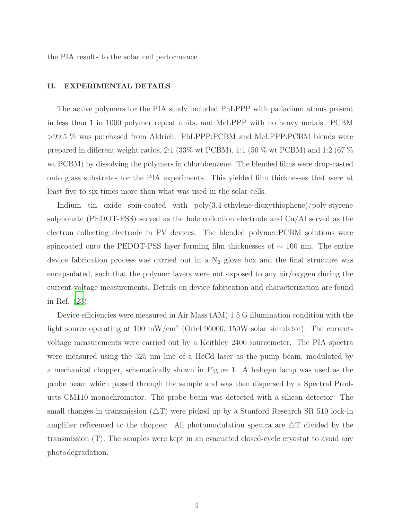the PIA results to the solar cell performance.

## II. EXPERIMENTAL DETAILS

The active polymers for the PIA study included PhLPPP with palladium atoms present in less than 1 in 1000 polymer repeat units, and MeLPPP with no heavy metals. PCBM >99.5 % was purchased from Aldrich. PhLPPP:PCBM and MeLPPP:PCBM blends were prepared in different weight ratios, 2:1 (33% wt PCBM), 1:1 (50 % wt PCBM) and 1:2 (67 % wt PCBM) by dissolving the polymers in chlorobenzene. The blended films were drop-casted onto glass substrates for the PIA experiments. This yielded film thicknesses that were at least five to six times more than what was used in the solar cells.

Indium tin oxide spin-coated with poly(3,4-ethylene-dioxythiophene)/poly-styrene sulphonate (PEDOT-PSS) served as the hole collection electrode and  $Ca/Al$  served as the electron collecting electrode in PV devices. The blended polymer:PCBM solutions were spincoated onto the PEDOT-PSS layer forming film thicknesses of ∼ 100 nm. The entire device fabrication process was carried out in a  $N_2$  glove box and the final structure was encapsulated, such that the polymer layers were not exposed to any air/oxygen during the current-voltage measurements. Details on device fabrication and characterization are found in Ref. [\(23\)](#page-18-0).

Device efficiencies were measured in Air Mass (AM) 1.5 G illumination condition with the light source operating at 100 mW/cm<sup>2</sup> (Oriel 96000, 150W solar simulator). The currentvoltage measurements were carried out by a Keithley 2400 sourcemeter. The PIA spectra were measured using the 325 nm line of a HeCd laser as the pump beam, modulated by a mechanical chopper, schematically shown in Figure 1. A halogen lamp was used as the probe beam which passed through the sample and was then dispersed by a Spectral Products CM110 monochromator. The probe beam was detected with a silicon detector. The small changes in transmission  $(\Delta T)$  were picked up by a Stanford Research SR 510 lock-in amplifier referenced to the chopper. All photomodulation spectra are  $\Delta T$  divided by the transmission (T). The samples were kept in an evacuated closed-cycle cryostat to avoid any photodegradation.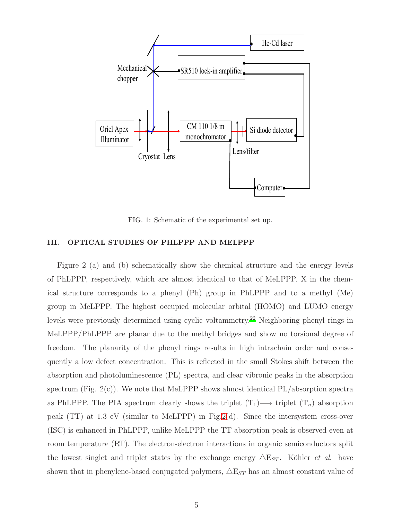

FIG. 1: Schematic of the experimental set up.

## III. OPTICAL STUDIES OF PHLPPP AND MELPPP

Figure 2 (a) and (b) schematically show the chemical structure and the energy levels of PhLPPP, respectively, which are almost identical to that of MeLPPP. X in the chemical structure corresponds to a phenyl (Ph) group in PhLPPP and to a methyl (Me) group in MeLPPP. The highest occupied molecular orbital (HOMO) and LUMO energy levels were previously determined using cyclic voltammetry.[22](#page-17-17) Neighboring phenyl rings in MeLPPP/PhLPPP are planar due to the methyl bridges and show no torsional degree of freedom. The planarity of the phenyl rings results in high intrachain order and consequently a low defect concentration. This is reflected in the small Stokes shift between the absorption and photoluminescence (PL) spectra, and clear vibronic peaks in the absorption spectrum (Fig.  $2(c)$ ). We note that MeLPPP shows almost identical PL/absorption spectra as PhLPPP. The PIA spectrum clearly shows the triplet  $(T_1) \longrightarrow$  triplet  $(T_n)$  absorption peak (TT) at 1.3 eV (similar to MeLPPP) in Fig[.2\(](#page-5-0)d). Since the intersystem cross-over (ISC) is enhanced in PhLPPP, unlike MeLPPP the TT absorption peak is observed even at room temperature (RT). The electron-electron interactions in organic semiconductors split the lowest singlet and triplet states by the exchange energy  $\triangle E_{ST}$ . Köhler *et al.* have shown that in phenylene-based conjugated polymers,  $\triangle E_{ST}$  has an almost constant value of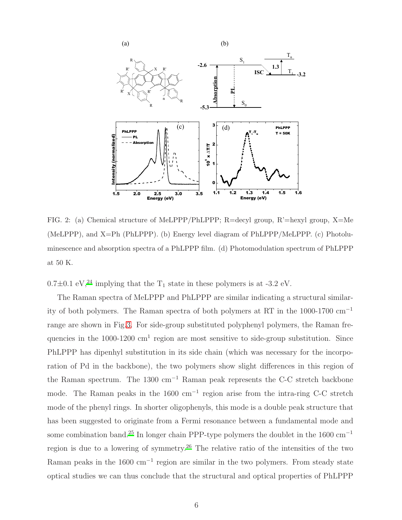

<span id="page-5-0"></span>FIG. 2: (a) Chemical structure of MeLPPP/PhLPPP; R=decyl group, R'=hexyl group, X=Me (MeLPPP), and X=Ph (PhLPPP). (b) Energy level diagram of PhLPPP/MeLPPP. (c) Photoluminescence and absorption spectra of a PhLPPP film. (d) Photomodulation spectrum of PhLPPP at 50 K.

 $0.7\pm0.1$  eV,<sup>[24](#page-18-1)</sup> implying that the T<sub>1</sub> state in these polymers is at -3.2 eV.

The Raman spectra of MeLPPP and PhLPPP are similar indicating a structural similarity of both polymers. The Raman spectra of both polymers at RT in the 1000-1700 cm<sup>−</sup><sup>1</sup> range are shown in Fig[.3.](#page-6-0) For side-group substituted polyphenyl polymers, the Raman frequencies in the  $1000-1200$  cm<sup>1</sup> region are most sensitive to side-group substitution. Since PhLPPP has dipenhyl substitution in its side chain (which was necessary for the incorporation of Pd in the backbone), the two polymers show slight differences in this region of the Raman spectrum. The 1300 cm<sup>-1</sup> Raman peak represents the C-C stretch backbone mode. The Raman peaks in the 1600 cm<sup>-1</sup> region arise from the intra-ring C-C stretch mode of the phenyl rings. In shorter oligophenyls, this mode is a double peak structure that has been suggested to originate from a Fermi resonance between a fundamental mode and some combination band.<sup>[25](#page-18-2)</sup> In longer chain PPP-type polymers the doublet in the 1600 cm<sup>-1</sup> region is due to a lowering of symmetry.<sup>[26](#page-18-3)</sup> The relative ratio of the intensities of the two Raman peaks in the 1600 cm<sup>-1</sup> region are similar in the two polymers. From steady state optical studies we can thus conclude that the structural and optical properties of PhLPPP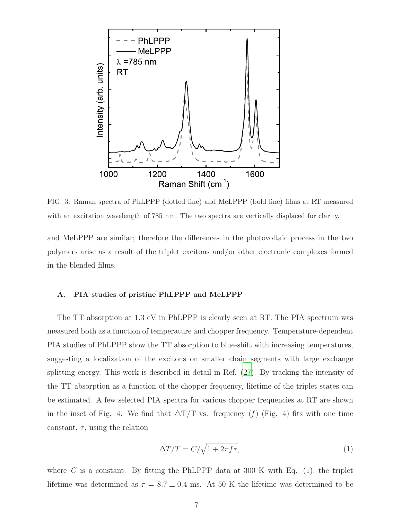

<span id="page-6-0"></span>FIG. 3: Raman spectra of PhLPPP (dotted line) and MeLPPP (bold line) films at RT measured with an excitation wavelength of 785 nm. The two spectra are vertically displaced for clarity.

and MeLPPP are similar; therefore the differences in the photovoltaic process in the two polymers arise as a result of the triplet excitons and/or other electronic complexes formed in the blended films.

#### A. PIA studies of pristine PhLPPP and MeLPPP

The TT absorption at 1.3 eV in PhLPPP is clearly seen at RT. The PIA spectrum was measured both as a function of temperature and chopper frequency. Temperature-dependent PIA studies of PhLPPP show the TT absorption to blue-shift with increasing temperatures, suggesting a localization of the excitons on smaller chain segments with large exchange splitting energy. This work is described in detail in Ref. [\(27\)](#page-18-4). By tracking the intensity of the TT absorption as a function of the chopper frequency, lifetime of the triplet states can be estimated. A few selected PIA spectra for various chopper frequencies at RT are shown in the inset of Fig. 4. We find that  $\Delta T/T$  vs. frequency (f) (Fig. 4) fits with one time constant,  $\tau$ , using the relation

$$
\Delta T/T = C/\sqrt{1 + 2\pi f\tau},\tag{1}
$$

where C is a constant. By fitting the PhLPPP data at 300 K with Eq.  $(1)$ , the triplet lifetime was determined as  $\tau = 8.7 \pm 0.4$  ms. At 50 K the lifetime was determined to be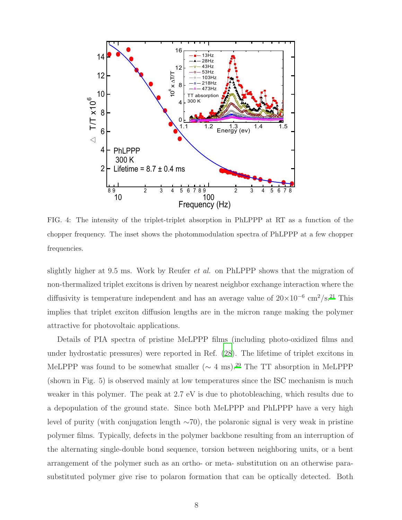

FIG. 4: The intensity of the triplet-triplet absorption in PhLPPP at RT as a function of the chopper frequency. The inset shows the photommodulation spectra of PhLPPP at a few chopper frequencies.

slightly higher at 9.5 ms. Work by Reufer et al. on PhLPPP shows that the migration of non-thermalized triplet excitons is driven by nearest neighbor exchange interaction where the diffusivity is temperature independent and has an average value of  $20 \times 10^{-6}$  cm<sup>2</sup>/s.<sup>[21](#page-17-16)</sup> This implies that triplet exciton diffusion lengths are in the micron range making the polymer attractive for photovoltaic applications.

Details of PIA spectra of pristine MeLPPP films (including photo-oxidized films and under hydrostatic pressures) were reported in Ref. [\(28](#page-18-5)). The lifetime of triplet excitons in MeLPPP was found to be somewhat smaller ( $\sim 4$  ms).<sup>[29](#page-18-6)</sup> The TT absorption in MeLPPP (shown in Fig. 5) is observed mainly at low temperatures since the ISC mechanism is much weaker in this polymer. The peak at 2.7 eV is due to photobleaching, which results due to a depopulation of the ground state. Since both MeLPPP and PhLPPP have a very high level of purity (with conjugation length ∼70), the polaronic signal is very weak in pristine polymer films. Typically, defects in the polymer backbone resulting from an interruption of the alternating single-double bond sequence, torsion between neighboring units, or a bent arrangement of the polymer such as an ortho- or meta- substitution on an otherwise parasubstituted polymer give rise to polaron formation that can be optically detected. Both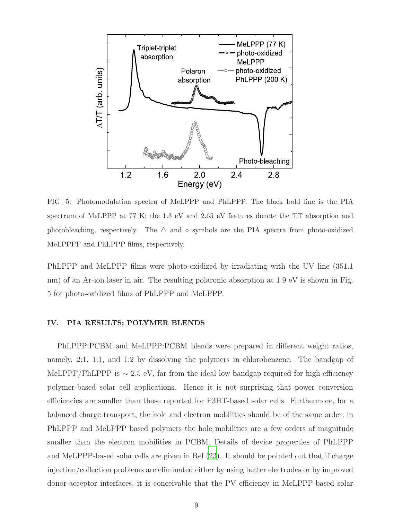

FIG. 5: Photomodulation spectra of MeLPPP and PhLPPP. The black bold line is the PIA spectrum of MeLPPP at 77 K; the 1.3 eV and 2.65 eV features denote the TT absorption and photobleaching, respectively. The  $\triangle$  and  $\circ$  symbols are the PIA spectra from photo-oxidized MeLPPPP and PhLPPP films, respectively.

PhLPPP and MeLPPP films were photo-oxidized by irradiating with the UV line (351.1 nm) of an Ar-ion laser in air. The resulting polaronic absorption at 1.9 eV is shown in Fig. 5 for photo-oxidized films of PhLPPP and MeLPPP.

## IV. PIA RESULTS: POLYMER BLENDS

PhLPPP:PCBM and MeLPPP:PCBM blends were prepared in different weight ratios, namely, 2:1, 1:1, and 1:2 by dissolving the polymers in chlorobenzene. The bandgap of MeLPPP/PhLPPP is  $\sim 2.5$  eV, far from the ideal low bandgap required for high efficiency polymer-based solar cell applications. Hence it is not surprising that power conversion efficiencies are smaller than those reported for P3HT-based solar cells. Furthermore, for a balanced charge transport, the hole and electron mobilities should be of the same order; in PhLPPP and MeLPPP based polymers the hole mobilities are a few orders of magnitude smaller than the electron mobilities in PCBM. Details of device properties of PhLPPP and MeLPPP-based solar cells are given in Ref.[\(23](#page-18-0)). It should be pointed out that if charge injection/collection problems are eliminated either by using better electrodes or by improved donor-acceptor interfaces, it is conceivable that the PV efficiency in MeLPPP-based solar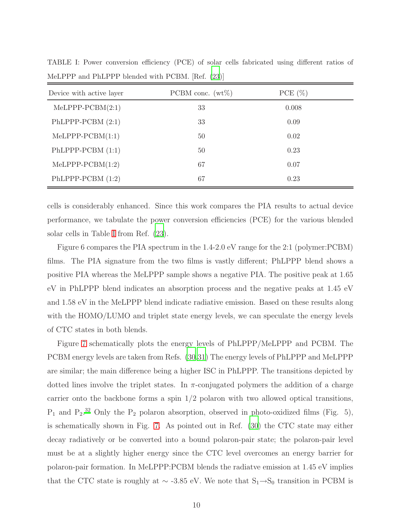| Device with active layer | PCBM conc. $(wt\%)$ | PCE $(\%)$ |  |
|--------------------------|---------------------|------------|--|
| $MeLPPP-PCBM(2:1)$       | 33                  | 0.008      |  |
| PhLPPP-PCBM $(2:1)$      | 33                  | 0.09       |  |
| $MeLPPP-PCBM(1:1)$       | 50                  | 0.02       |  |
| $PhLPPP-PCBM (1:1)$      | 50                  | 0.23       |  |
| $MeLPPP-PCBM(1:2)$       | 67                  | 0.07       |  |
| PhLPPP-PCBM $(1:2)$      | 67                  | 0.23       |  |

<span id="page-9-0"></span>TABLE I: Power conversion efficiency (PCE) of solar cells fabricated using different ratios of MeLPPP and PhLPPP blended with PCBM. [Ref. [\(23](#page-18-0))]

cells is considerably enhanced. Since this work compares the PIA results to actual device performance, we tabulate the power conversion efficiencies (PCE) for the various blended solar cells in Table [I](#page-9-0) from Ref. [\(23](#page-18-0)).

Figure 6 compares the PIA spectrum in the 1.4-2.0 eV range for the 2:1 (polymer:PCBM) films. The PIA signature from the two films is vastly different; PhLPPP blend shows a positive PIA whereas the MeLPPP sample shows a negative PIA. The positive peak at 1.65 eV in PhLPPP blend indicates an absorption process and the negative peaks at 1.45 eV and 1.58 eV in the MeLPPP blend indicate radiative emission. Based on these results along with the HOMO/LUMO and triplet state energy levels, we can speculate the energy levels of CTC states in both blends.

Figure [7](#page-11-0) schematically plots the energy levels of PhLPPP/MeLPPP and PCBM. The PCBM energy levels are taken from Refs. [\(30](#page-18-7)[,31\)](#page-18-8) The energy levels of PhLPPP and MeLPPP are similar; the main difference being a higher ISC in PhLPPP. The transitions depicted by dotted lines involve the triplet states. In  $\pi$ -conjugated polymers the addition of a charge carrier onto the backbone forms a spin  $1/2$  polaron with two allowed optical transitions,  $P_1$  and  $P_2$ .<sup>[32](#page-18-9)</sup> Only the  $P_2$  polaron absorption, observed in photo-oxidized films (Fig. 5), is schematically shown in Fig. [7.](#page-11-0) As pointed out in Ref. [\(30](#page-18-7)) the CTC state may either decay radiatively or be converted into a bound polaron-pair state; the polaron-pair level must be at a slightly higher energy since the CTC level overcomes an energy barrier for polaron-pair formation. In MeLPPP:PCBM blends the radiatve emission at 1.45 eV implies that the CTC state is roughly at  $\sim$  -3.85 eV. We note that S<sub>1</sub>→S<sub>0</sub> transition in PCBM is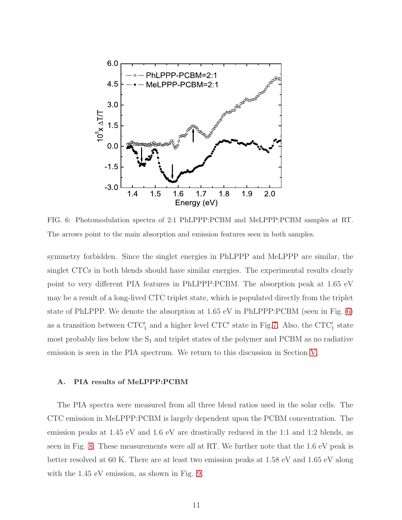

<span id="page-10-0"></span>FIG. 6: Photomodulation spectra of 2:1 PhLPPP:PCBM and MeLPPP:PCBM samples at RT. The arrows point to the main absorption and emission features seen in both samples.

symmetry forbidden. Since the singlet energies in PhLPPP and MeLPPP are similar, the singlet CTCs in both blends should have similar energies. The experimental results clearly point to very different PIA features in PhLPPP:PCBM. The absorption peak at 1.65 eV may be a result of a long-lived CTC triplet state, which is populated directly from the triplet state of PhLPPP. We denote the absorption at 1.65 eV in PhLPPP:PCBM (seen in Fig. [6\)](#page-10-0) as a transition between  $CTC'_{1}$  and a higher level  $CTC'$  state in Fig[.7.](#page-11-0) Also, the  $CTC'_{1}$  state most probably lies below the  $S_1$  and triplet states of the polymer and PCBM as no radiative emission is seen in the PIA spectrum. We return to this discussion in Section [V.](#page-14-0)

### A. PIA results of MeLPPP:PCBM

The PIA spectra were measured from all three blend ratios used in the solar cells. The CTC emission in MeLPPP:PCBM is largely dependent upon the PCBM concentration. The emission peaks at 1.45 eV and 1.6 eV are drastically reduced in the 1:1 and 1:2 blends, as seen in Fig. [8.](#page-12-0) These measurements were all at RT. We further note that the 1.6 eV peak is better resolved at 60 K. There are at least two emission peaks at 1.58 eV and 1.65 eV along with the  $1.45$  eV emission, as shown in Fig. [9.](#page-12-1)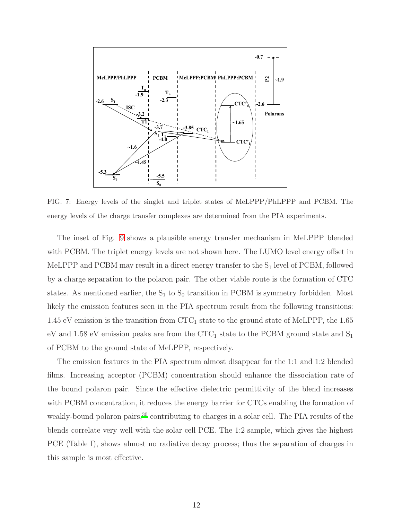

<span id="page-11-0"></span>FIG. 7: Energy levels of the singlet and triplet states of MeLPPP/PhLPPP and PCBM. The energy levels of the charge transfer complexes are determined from the PIA experiments.

The inset of Fig. [9](#page-12-1) shows a plausible energy transfer mechanism in MeLPPP blended with PCBM. The triplet energy levels are not shown here. The LUMO level energy offset in MeLPPP and PCBM may result in a direct energy transfer to the  $S_1$  level of PCBM, followed by a charge separation to the polaron pair. The other viable route is the formation of CTC states. As mentioned earlier, the  $S_1$  to  $S_0$  transition in PCBM is symmetry forbidden. Most likely the emission features seen in the PIA spectrum result from the following transitions: 1.45 eV emission is the transition from  $CTC_1$  state to the ground state of MeLPPP, the 1.65 eV and 1.58 eV emission peaks are from the CTC<sub>1</sub> state to the PCBM ground state and  $S_1$ of PCBM to the ground state of MeLPPP, respectively.

The emission features in the PIA spectrum almost disappear for the 1:1 and 1:2 blended films. Increasing acceptor (PCBM) concentration should enhance the dissociation rate of the bound polaron pair. Since the effective dielectric permittivity of the blend increases with PCBM concentration, it reduces the energy barrier for CTCs enabling the formation of weakly-bound polaron pairs,<sup>[30](#page-18-7)</sup> contributing to charges in a solar cell. The PIA results of the blends correlate very well with the solar cell PCE. The 1:2 sample, which gives the highest PCE (Table I), shows almost no radiative decay process; thus the separation of charges in this sample is most effective.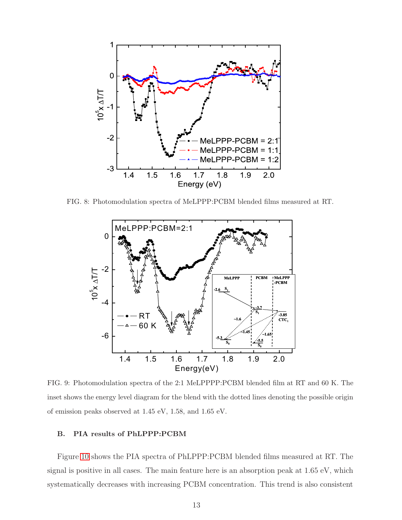

FIG. 8: Photomodulation spectra of MeLPPP:PCBM blended films measured at RT.

<span id="page-12-0"></span>

<span id="page-12-1"></span>FIG. 9: Photomodulation spectra of the 2:1 MeLPPPP:PCBM blended film at RT and 60 K. The inset shows the energy level diagram for the blend with the dotted lines denoting the possible origin of emission peaks observed at 1.45 eV, 1.58, and 1.65 eV.

## B. PIA results of PhLPPP:PCBM

Figure [10](#page-13-0) shows the PIA spectra of PhLPPP:PCBM blended films measured at RT. The signal is positive in all cases. The main feature here is an absorption peak at 1.65 eV, which systematically decreases with increasing PCBM concentration. This trend is also consistent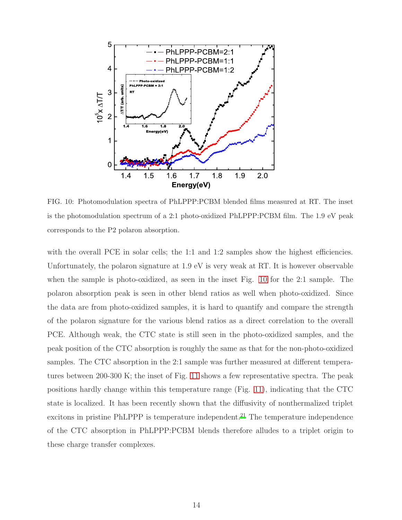

<span id="page-13-0"></span>FIG. 10: Photomodulation spectra of PhLPPP:PCBM blended films measured at RT. The inset is the photomodulation spectrum of a 2:1 photo-oxidized PhLPPP:PCBM film. The 1.9 eV peak corresponds to the P2 polaron absorption.

with the overall PCE in solar cells; the 1:1 and 1:2 samples show the highest efficiencies. Unfortunately, the polaron signature at 1.9 eV is very weak at RT. It is however observable when the sample is photo-oxidized, as seen in the inset Fig. [10](#page-13-0) for the 2:1 sample. The polaron absorption peak is seen in other blend ratios as well when photo-oxidized. Since the data are from photo-oxidized samples, it is hard to quantify and compare the strength of the polaron signature for the various blend ratios as a direct correlation to the overall PCE. Although weak, the CTC state is still seen in the photo-oxidized samples, and the peak position of the CTC absorption is roughly the same as that for the non-photo-oxidized samples. The CTC absorption in the 2:1 sample was further measured at different temperatures between 200-300 K; the inset of Fig. [11](#page-14-1) shows a few representative spectra. The peak positions hardly change within this temperature range (Fig. [11\)](#page-14-1), indicating that the CTC state is localized. It has been recently shown that the diffusivity of nonthermalized triplet excitons in pristine PhLPPP is temperature independent.<sup>[21](#page-17-16)</sup> The temperature independence of the CTC absorption in PhLPPP:PCBM blends therefore alludes to a triplet origin to these charge transfer complexes.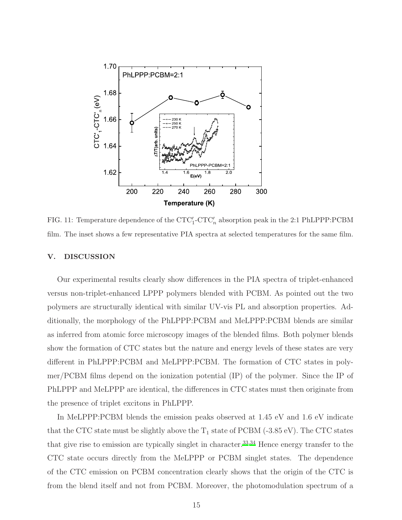

<span id="page-14-1"></span>FIG. 11: Temperature dependence of the  $\text{CTC}'_1\text{-}\text{CTC}'_n$  absorption peak in the 2:1 PhLPPP:PCBM film. The inset shows a few representative PIA spectra at selected temperatures for the same film.

#### <span id="page-14-0"></span>V. DISCUSSION

Our experimental results clearly show differences in the PIA spectra of triplet-enhanced versus non-triplet-enhanced LPPP polymers blended with PCBM. As pointed out the two polymers are structurally identical with similar UV-vis PL and absorption properties. Additionally, the morphology of the PhLPPP:PCBM and MeLPPP:PCBM blends are similar as inferred from atomic force microscopy images of the blended films. Both polymer blends show the formation of CTC states but the nature and energy levels of these states are very different in PhLPPP:PCBM and MeLPPP:PCBM. The formation of CTC states in polymer/PCBM films depend on the ionization potential (IP) of the polymer. Since the IP of PhLPPP and MeLPPP are identical, the differences in CTC states must then originate from the presence of triplet excitons in PhLPPP.

In MeLPPP:PCBM blends the emission peaks observed at 1.45 eV and 1.6 eV indicate that the CTC state must be slightly above the  $T_1$  state of PCBM (-3.85 eV). The CTC states that give rise to emission are typically singlet in character.[33](#page-18-10)[,34](#page-18-11) Hence energy transfer to the CTC state occurs directly from the MeLPPP or PCBM singlet states. The dependence of the CTC emission on PCBM concentration clearly shows that the origin of the CTC is from the blend itself and not from PCBM. Moreover, the photomodulation spectrum of a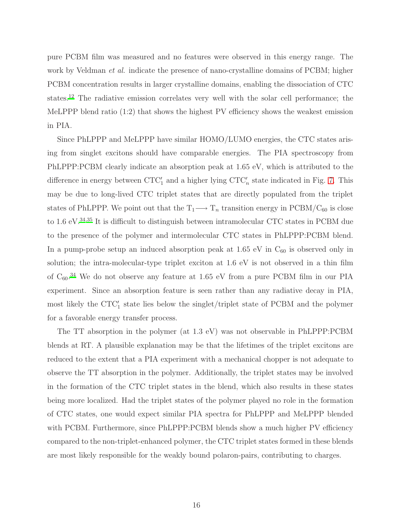pure PCBM film was measured and no features were observed in this energy range. The work by Veldman *et al.* indicate the presence of nano-crystalline domains of PCBM; higher PCBM concentration results in larger crystalline domains, enabling the dissociation of CTC states.<sup>[12](#page-17-7)</sup> The radiative emission correlates very well with the solar cell performance; the MeLPPP blend ratio (1:2) that shows the highest PV efficiency shows the weakest emission in PIA.

Since PhLPPP and MeLPPP have similar HOMO/LUMO energies, the CTC states arising from singlet excitons should have comparable energies. The PIA spectroscopy from PhLPPP:PCBM clearly indicate an absorption peak at 1.65 eV, which is attributed to the difference in energy between  $CTC'_{1}$  and a higher lying  $CTC'_{n}$  state indicated in Fig. [7.](#page-11-0) This may be due to long-lived CTC triplet states that are directly populated from the triplet states of PhLPPP. We point out that the  $T_1 \longrightarrow T_n$  transition energy in PCBM/C<sub>60</sub> is close to 1.6 eV.<sup>[34](#page-18-11)[,35](#page-18-12)</sup> It is difficult to distinguish between intramolecular CTC states in PCBM due to the presence of the polymer and intermolecular CTC states in PhLPPP:PCBM blend. In a pump-probe setup an induced absorption peak at 1.65 eV in  $C_{60}$  is observed only in solution; the intra-molecular-type triplet exciton at 1.6 eV is not observed in a thin film of  $C_{60}$ .<sup>[34](#page-18-11)</sup> We do not observe any feature at 1.65 eV from a pure PCBM film in our PIA experiment. Since an absorption feature is seen rather than any radiative decay in PIA, most likely the CTC<sup>'</sup><sub>1</sub> state lies below the singlet/triplet state of PCBM and the polymer for a favorable energy transfer process.

The TT absorption in the polymer (at 1.3 eV) was not observable in PhLPPP:PCBM blends at RT. A plausible explanation may be that the lifetimes of the triplet excitons are reduced to the extent that a PIA experiment with a mechanical chopper is not adequate to observe the TT absorption in the polymer. Additionally, the triplet states may be involved in the formation of the CTC triplet states in the blend, which also results in these states being more localized. Had the triplet states of the polymer played no role in the formation of CTC states, one would expect similar PIA spectra for PhLPPP and MeLPPP blended with PCBM. Furthermore, since PhLPPP:PCBM blends show a much higher PV efficiency compared to the non-triplet-enhanced polymer, the CTC triplet states formed in these blends are most likely responsible for the weakly bound polaron-pairs, contributing to charges.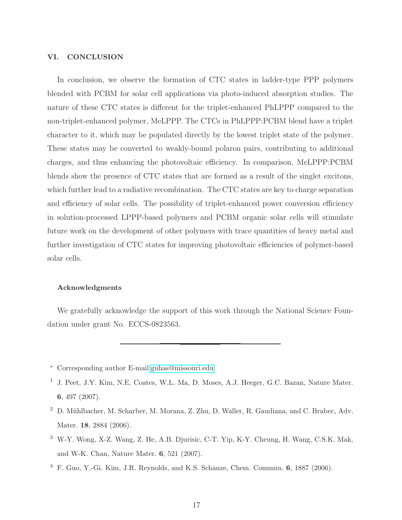#### VI. CONCLUSION

In conclusion, we observe the formation of CTC states in ladder-type PPP polymers blended with PCBM for solar cell applications via photo-induced absorption studies. The nature of these CTC states is different for the triplet-enhanced PhLPPP compared to the non-triplet-enhanced polymer, MeLPPP. The CTCs in PhLPPP:PCBM blend have a triplet character to it, which may be populated directly by the lowest triplet state of the polymer. These states may be converted to weakly-bound polaron pairs, contributing to additional charges, and thus enhancing the photovoltaic efficiency. In comparison, MeLPPP:PCBM blends show the presence of CTC states that are formed as a result of the singlet excitons, which further lead to a radiative recombination. The CTC states are key to charge separation and efficiency of solar cells. The possibility of triplet-enhanced power conversion efficiency in solution-processed LPPP-based polymers and PCBM organic solar cells will stimulate future work on the development of other polymers with trace quantities of heavy metal and further investigation of CTC states for improving photovoltaic efficiencies of polymer-based solar cells.

#### Acknowledgments

We gratefully acknowledge the support of this work through the National Science Foundation under grant No. ECCS-0823563.

<span id="page-16-0"></span><sup>∗</sup> Corresponding author E-mail[:guhas@missouri.edu](mailto:guhas@missouri.edu)

<span id="page-16-1"></span><sup>&</sup>lt;sup>1</sup> J. Peet, J.Y. Kim, N.E. Coates, W.L. Ma, D. Moses, A.J. Heeger, G.C. Bazan, Nature Mater. 6, 497 (2007).

<span id="page-16-2"></span><sup>&</sup>lt;sup>2</sup> D. Mühlbacher, M. Scharber, M. Morana, Z. Zhu, D. Waller, R. Gaudiana, and C. Brabec, Adv. Mater. 18, 2884 (2006).

<span id="page-16-3"></span><sup>3</sup> W-Y. Wong, X-Z. Wang, Z. He, A.B. Djurisic, C-T. Yip, K-Y. Cheung, H. Wang, C.S.K. Mak, and W-K. Chan, Nature Mater. 6, 521 (2007).

<sup>4</sup> F. Guo, Y.-Gi. Kim, J.R. Reynolds, and K.S. Schanze, Chem. Commun. 6, 1887 (2006).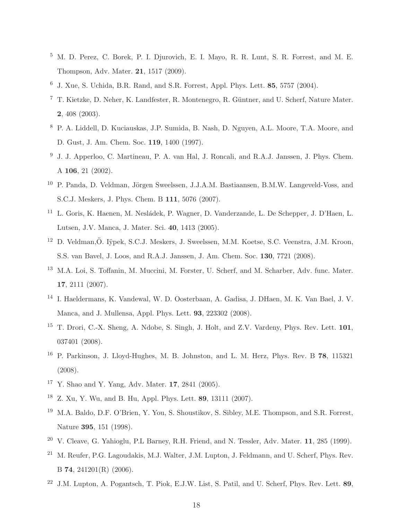- <span id="page-17-0"></span><sup>5</sup> M. D. Perez, C. Borek, P. I. Djurovich, E. I. Mayo, R. R. Lunt, S. R. Forrest, and M. E. Thompson, Adv. Mater. 21, 1517 (2009).
- <span id="page-17-1"></span> $6\,$  J. Xue, S. Uchida, B.R. Rand, and S.R. Forrest, Appl. Phys. Lett. 85, 5757 (2004).
- <span id="page-17-2"></span><sup>7</sup> T. Kietzke, D. Neher, K. Landfester, R. Montenegro, R. Güntner, and U. Scherf, Nature Mater. 2, 408 (2003).
- <span id="page-17-3"></span><sup>8</sup> P. A. Liddell, D. Kuciauskas, J.P. Sumida, B. Nash, D. Nguyen, A.L. Moore, T.A. Moore, and D. Gust, J. Am. Chem. Soc. 119, 1400 (1997).
- <span id="page-17-4"></span><sup>9</sup> J. J. Apperloo, C. Martineau, P. A. van Hal, J. Roncali, and R.A.J. Janssen, J. Phys. Chem. A 106, 21 (2002).
- <span id="page-17-5"></span><sup>10</sup> P. Panda, D. Veldman, Jörgen Sweelssen, J.J.A.M. Bastiaansen, B.M.W. Langeveld-Voss, and S.C.J. Meskers, J. Phys. Chem. B 111, 5076 (2007).
- <span id="page-17-6"></span><sup>11</sup> L. Goris, K. Haenen, M. Nesládek, P. Wagner, D. Vanderzande, L. De Schepper, J. D'Haen, L. Lutsen, J.V. Manca, J. Mater. Sci. 40, 1413 (2005).
- <span id="page-17-7"></span><sup>12</sup> D. Veldman,Ö. Iÿpek, S.C.J. Meskers, J. Sweelssen, M.M. Koetse, S.C. Veenstra, J.M. Kroon, S.S. van Bavel, J. Loos, and R.A.J. Janssen, J. Am. Chem. Soc. 130, 7721 (2008).
- <span id="page-17-8"></span><sup>13</sup> M.A. Loi, S. Toffanin, M. Muccini, M. Forster, U. Scherf, and M. Scharber, Adv. func. Mater. 17, 2111 (2007).
- <span id="page-17-9"></span><sup>14</sup> I. Haeldermans, K. Vandewal, W. D. Oosterbaan, A. Gadisa, J. DHaen, M. K. Van Bael, J. V. Manca, and J. Mullensa, Appl. Phys. Lett. 93, 223302 (2008).
- <span id="page-17-10"></span><sup>15</sup> T. Drori, C.-X. Sheng, A. Ndobe, S. Singh, J. Holt, and Z.V. Vardeny, Phys. Rev. Lett. **101**, 037401 (2008).
- <span id="page-17-11"></span><sup>16</sup> P. Parkinson, J. Lloyd-Hughes, M. B. Johnston, and L. M. Herz, Phys. Rev. B 78, 115321 (2008).
- <span id="page-17-12"></span><sup>17</sup> Y. Shao and Y. Yang, Adv. Mater. 17, 2841 (2005).
- <span id="page-17-13"></span><sup>18</sup> Z. Xu, Y. Wu, and B. Hu, Appl. Phys. Lett. 89, 13111 (2007).
- <span id="page-17-14"></span><sup>19</sup> M.A. Baldo, D.F. O'Brien, Y. You, S. Shoustikov, S. Sibley, M.E. Thompson, and S.R. Forrest, Nature 395, 151 (1998).
- <span id="page-17-15"></span><sup>20</sup> V. Cleave, G. Yahioglu, P.L Barney, R.H. Friend, and N. Tessler, Adv. Mater. 11, 285 (1999).
- <span id="page-17-16"></span><sup>21</sup> M. Reufer, P.G. Lagoudakis, M.J. Walter, J.M. Lupton, J. Feldmann, and U. Scherf, Phys. Rev. B 74, 241201(R) (2006).
- <span id="page-17-17"></span><sup>22</sup> J.M. Lupton, A. Pogantsch, T. Piok, E.J.W. List, S. Patil, and U. Scherf, Phys. Rev. Lett. 89,